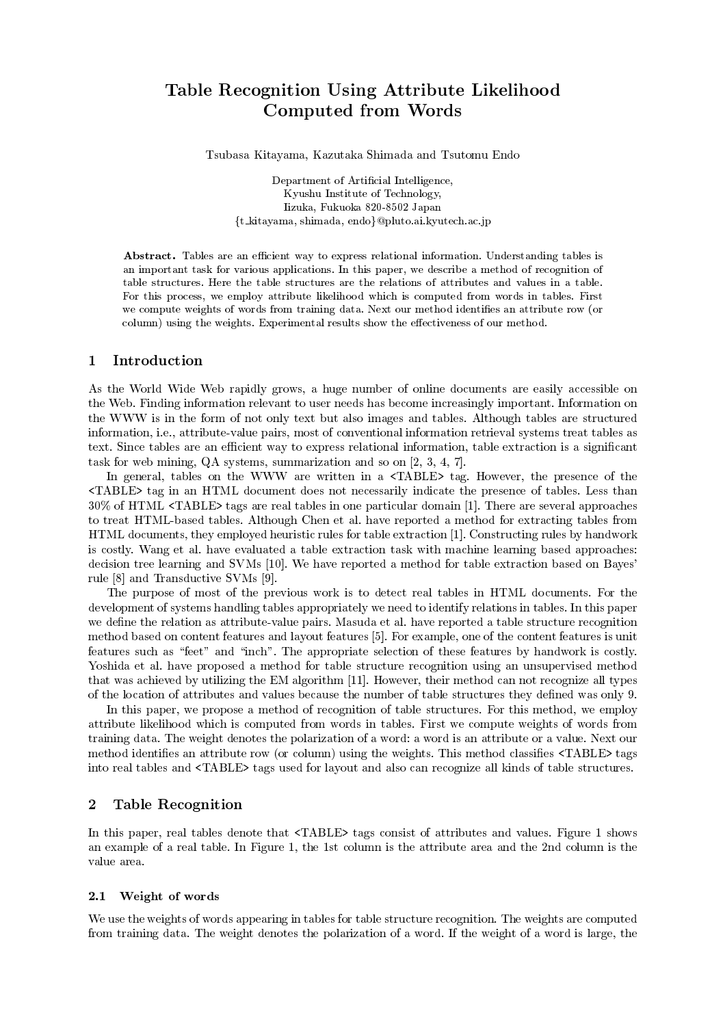# Table Recognition Using Attribute Likelihood Computed from Words

Tsubasa Kitayama, Kazutaka Shimada and Tsutomu Endo

Department of Artificial Intelligence, Kyushu Institute of Technology, Iizuka, Fukuoka 820-8502 Japan {t\_kitayama, shimada, endo}@pluto.ai.kyutech.ac.jp

Abstract. Tables are an efficient way to express relational information. Understanding tables is an important task for various applications. In this paper, we describe a method of recognition of table structures. Here the table structures are the relations of attributes and values in a table. For this process, we employ attribute likelihood which is computed from words in tables. First we compute weights of words from training data. Next our method identifies an attribute row (or column) using the weights. Experimental results show the effectiveness of our method.

#### $\mathbf{1}$ Introduction

As the World Wide Web rapidly grows, a huge number of online documents are easily accessible on the Web. Finding information relevant to user needs has become increasingly important. Information on the WWW is in the form of not only text but also images and tables. Although tables are structured information, i.e., attribute-value pairs, most of conventional information retrieval systems treat tables as text. Since tables are an efficient way to express relational information, table extraction is a significant task for web mining,  $QA$  systems, summarization and so on  $[2, 3, 4, 7]$ .

In general, tables on the WWW are written in a <TABLE> tag. However, the presence of the <TABLE> tag in an HTML document does not necessarily indicate the presence of tables. Less than 30% of HTML <TABLE> tags are real tables in one particular domain [1]. There are several approaches to treat HTML-based tables. Although Chen et al. have reported a method for extracting tables from HTML documents, they employed heuristic rules for table extraction [1]. Constructing rules by handwork is costly. Wang et al. have evaluated a table extraction task with machine learning based approaches: decision tree learning and SVMs [10]. We have reported a method for table extraction based on Bayes' rule [8] and Transductive SVMs [9].

The purpose of most of the previous work is to detect real tables in HTML documents. For the development of systems handling tables appropriately we need to identify relations in tables. In this paper we define the relation as attribute-value pairs. Masuda et al. have reported a table structure recognition method based on content features and layout features [5]. For example, one of the content features is unit features such as "feet" and "inch". The appropriate selection of these features by handwork is costly. Yoshida et al. have proposed a method for table structure recognition using an unsupervised method that was achieved by utilizing the EM algorithm [11]. However, their method can not recognize all types of the location of attributes and values because the number of table structures they defined was only 9.

In this paper, we propose a method of recognition of table structures. For this method, we employ attribute likelihood which is computed from words in tables. First we compute weights of words from training data. The weight denotes the polarization of a word: a word is an attribute or a value. Next our method identifies an attribute row (or column) using the weights. This method classifies <TABLE> tags into real tables and  $\langle \text{TABLE} \rangle$  tags used for layout and also can recognize all kinds of table structures.

#### $\overline{2}$ **Table Recognition**

In this paper, real tables denote that <TABLE> tags consist of attributes and values. Figure 1 shows an example of a real table. In Figure 1, the 1st column is the attribute area and the 2nd column is the value area.

### 2.1 Weight of words

We use the weights of words appearing in tables for table structure recognition. The weights are computed from training data. The weight denotes the polarization of a word. If the weight of a word is large, the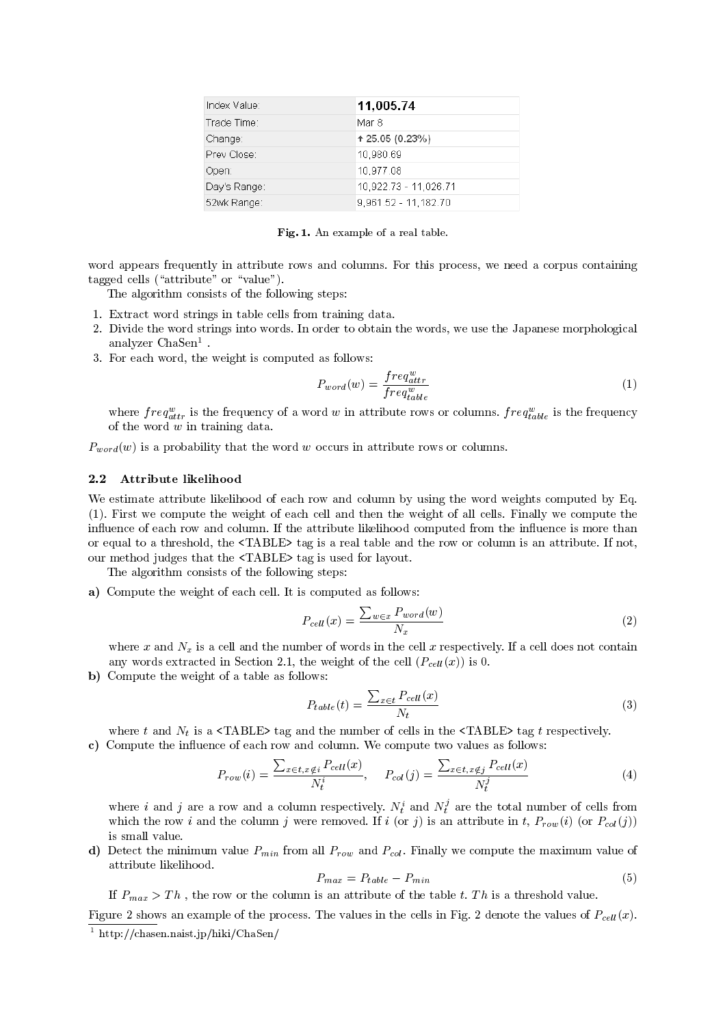| Index Value: | 11,005.74             |
|--------------|-----------------------|
| Trade Time:  | Mar 8                 |
| Change:      | $+25.05(0.23%)$       |
| Prev Close:  | 10,980.69             |
| Open:        | 10,977.08             |
| Day's Range: | 10,922.73 - 11,026.71 |
| 52wk Range:  | 9,961.52 - 11,182.70  |

Fig. 1. An example of a real table.

word appears frequently in attribute rows and columns. For this process, we need a corpus containing tagged cells ("attribute" or "value").

The algorithm consists of the following steps:

- 1. Extract word strings in table cells from training data.
- 2. Divide the word strings into words. In order to obtain the words, we use the Japanese morphological analyzer  $ChaSen<sup>1</sup>$ .
- 3. For each word, the weight is computed as follows:

$$
P_{word}(w) = \frac{freq_{attr}^w}{freq_{table}^w}
$$
\n(1)

where  $freq_{attr}^w$  is the frequency of a word w in attribute rows or columns.  $freq_{table}^w$  is the frequency of the word  $w$  in training data.

 $P_{word}(w)$  is a probability that the word w occurs in attribute rows or columns.

### 2.2 Attribute likelihood

We estimate attribute likelihood of each row and column by using the word weights computed by Eq. (1). First we compute the weight of each cell and then the weight of all cells. Finally we compute the influence of each row and column. If the attribute likelihood computed from the influence is more than or equal to a threshold, the  $\langle \text{TABLE} \rangle$  tag is a real table and the row or column is an attribute. If not, our method judges that the <TABLE> tag is used for layout.

The algorithm consists of the following steps:

a) Compute the weight of each cell. It is computed as follows:

$$
P_{cell}(x) = \frac{\sum_{w \in x} P_{word}(w)}{N_x} \tag{2}
$$

where x and  $N_x$  is a cell and the number of words in the cell x respectively. If a cell does not contain any words extracted in Section 2.1, the weight of the cell  $(P_{cell}(x))$  is 0.

b) Compute the weight of a table as follows:

$$
P_{table}(t) = \frac{\sum_{x \in t} P_{cell}(x)}{N_t}
$$
\n(3)

where t and  $N_t$  is a  $\langle \text{TABLE} \rangle$  tag and the number of cells in the  $\langle \text{TABLE} \rangle$  tag t respectively. c) Compute the influence of each row and column. We compute two values as follows:

$$
P_{row}(i) = \frac{\sum_{x \in t, x \notin i} P_{cell}(x)}{N_t^i}, \quad P_{col}(j) = \frac{\sum_{x \in t, x \notin j} P_{cell}(x)}{N_t^j}
$$
(4)

where i and j are a row and a column respectively.  $N_t^i$  and  $N_t^j$  are the total number of cells from which the row *i* and the column *j* were removed. If *i* (or *j*) is an attribute in *t*,  $P_{row}(i)$  (or  $P_{col}(j)$ ) is small value.

**d**) Detect the minimum value  $P_{min}$  from all  $P_{row}$  and  $P_{col}$ . Finally we compute the maximum value of attribute likelihood.

$$
P_{max} = P_{table} - P_{min} \tag{5}
$$

If  $P_{max} > Th$ , the row or the column is an attribute of the table t. Th is a threshold value.

Figure 2 shows an example of the process. The values in the cells in Fig. 2 denote the values of  $P_{cell}(x)$ .  $\frac{1 \text{ http://chasen.naist.jp/hiki/ChaSen/">1 \text{ http://chasen.naist.jp/hiki/ChaSen/}}$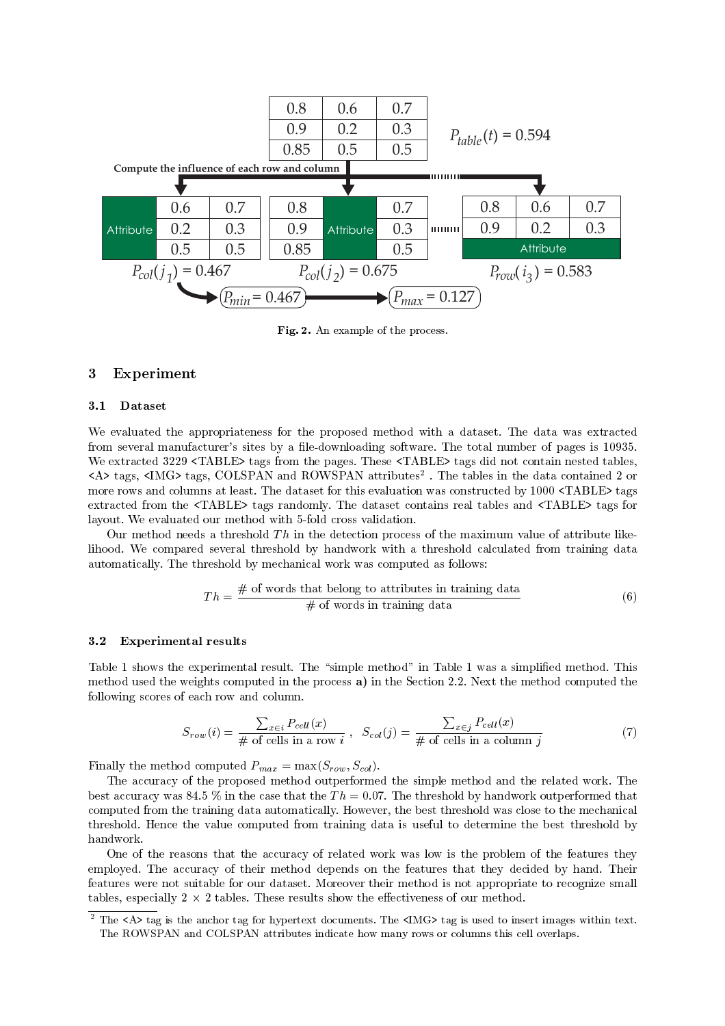

 $\mathbf{r}$ ,  $\mathbf{r}$ ,  $\mathbf{r}$  and  $\mathbf{r}$  and  $\mathbf{r}$  are  $\mathbf{r}$  and  $\mathbf{r}$  are  $\mathbf{r}$ 

### 

#### 3.1 Dataset

 -- - - - "  $\frac{1}{2}$  -  $\frac{1}{2}$  -  $\frac{1}{2}$  -  $\frac{1}{2}$  -  $\frac{1}{2}$  -  $\frac{1}{2}$  -  $\frac{1}{2}$  -  $\frac{1}{2}$  -  $\frac{1}{2}$  -  $\frac{1}{2}$  -  $\frac{1}{2}$  -  $\frac{1}{2}$  -  $\frac{1}{2}$  -  $\frac{1}{2}$  -  $\frac{1}{2}$  -  $\frac{1}{2}$  -  $\frac{1}{2}$  -  $\frac{1}{2}$  -  $\frac{1$  $\sim$  " )((9 -.- - - - - -.- -- sa> tags, simG> tags, colpran and nowSPAN attributes to the -- 4H.I> JHI> - - ( - - - - - - - 3111 -.--" -.- - - - - -.-- $\overline{a}$  and  $\overline{a}$  and  $\overline{a}$  and  $\overline{a}$  and  $\overline{a}$  and  $\overline{a}$  and  $\overline{a}$  and  $\overline{a}$  and  $\overline{a}$  and  $\overline{a}$  and  $\overline{a}$  and  $\overline{a}$  and  $\overline{a}$  and  $\overline{a}$  and  $\overline{a}$  and  $\overline{a}$  and  $\overline{a}$  and layout. We evaluated our method with 5-fold cross validation.

o de momo a nocas a empereix - e m eno apposition proposso or eno mammant existo or apprisato into - - - - 
- -5

$$
Th = \frac{\text{# of words that belong to attributes in training data}}{\text{# of words in training data}} \tag{6}
$$

#### 3.2 **Experimental results**

 $\frac{1}{1}$   $\frac{1}{1}$   $\frac{1}{1}$   $\frac{1}{1}$   $\frac{1}{1}$   $\frac{1}{1}$   $\frac{1}{1}$   $\frac{1}{1}$   $\frac{1}{1}$   $\frac{1}{1}$   $\frac{1}{1}$   $\frac{1}{1}$   $\frac{1}{1}$   $\frac{1}{1}$   $\frac{1}{1}$   $\frac{1}{1}$   $\frac{1}{1}$   $\frac{1}{1}$   $\frac{1}{1}$   $\frac{1}{1}$   $\frac{1}{1}$   $\frac{1}{1}$  - - -- (( >" --

$$
S_{row}(i) = \frac{\sum_{x \in i} P_{cell}(x)}{\# \text{ of cells in a row } i}, \quad S_{col}(j) = \frac{\sum_{x \in j} P_{cell}(x)}{\# \text{ of cells in a column } j}
$$
(7)

 $\sum_{i=1}^{n} \frac{1}{i!} \sum_{j=1}^{n} \frac{1}{j!} \sum_{j=1}^{n} \frac{1}{j!} \sum_{j=1}^{n} \frac{1}{j!} \sum_{j=1}^{n} \frac{1}{j!} \sum_{j=1}^{n} \frac{1}{j!} \sum_{j=1}^{n} \frac{1}{j!} \sum_{j=1}^{n} \frac{1}{j!} \sum_{j=1}^{n} \frac{1}{j!} \sum_{j=1}^{n} \frac{1}{j!} \sum_{j=1}^{n} \frac{1}{j!} \sum_{j=1}^{n} \frac{1}{j!} \sum_{j$ 

 $\frac{1}{\sqrt{2}}$  and  $\frac{1}{\sqrt{2}}$  and  $\frac{1}{\sqrt{2}}$  and  $\frac{1}{\sqrt{2}}$  and  $\frac{1}{\sqrt{2}}$  and  $\frac{1}{\sqrt{2}}$  and  $\frac{1}{\sqrt{2}}$  and  $\frac{1}{\sqrt{2}}$  and  $\frac{1}{\sqrt{2}}$  and  $\frac{1}{\sqrt{2}}$  and  $\frac{1}{\sqrt{2}}$  and  $\frac{1}{\sqrt{2}}$  and  $\frac{1}{\sqrt{2}}$  and - D 11+ - $\frac{1}{2}$   $\frac{1}{2}$   $\frac{1}{2}$   $\frac{1}{2}$   $\frac{1}{2}$   $\frac{1}{2}$   $\frac{1}{2}$   $\frac{1}{2}$   $\frac{1}{2}$   $\frac{1}{2}$   $\frac{1}{2}$   $\frac{1}{2}$   $\frac{1}{2}$   $\frac{1}{2}$   $\frac{1}{2}$   $\frac{1}{2}$   $\frac{1}{2}$   $\frac{1}{2}$   $\frac{1}{2}$   $\frac{1}{2}$   $\frac{1}{2}$   $\frac{1}{2}$   $\mathbf{r}$  , the state of the state of the state of the state of the state of the state of the state of the state of the state of the state of the state of the state of the state of the state of the state of the state of th  $\mathbf{A}$ handwork.

H -- - - - - - -  -  $\Gamma$   $\Gamma$   $\Gamma$   $\Gamma$  $\cdots$  . The contract of the contract of the contract of the contract of the contract of the contract of

<sup>.</sup> The <code>sax</code> tag is the anchor tag for hypertext documents. The simule ag is used to insert images within text.  $\blacksquare$  . The set of the set of the set of the set of the set of the set of the set of the set of the set of the set of the set of the set of the set of the set of the set of the set of the set of the set of the set of the